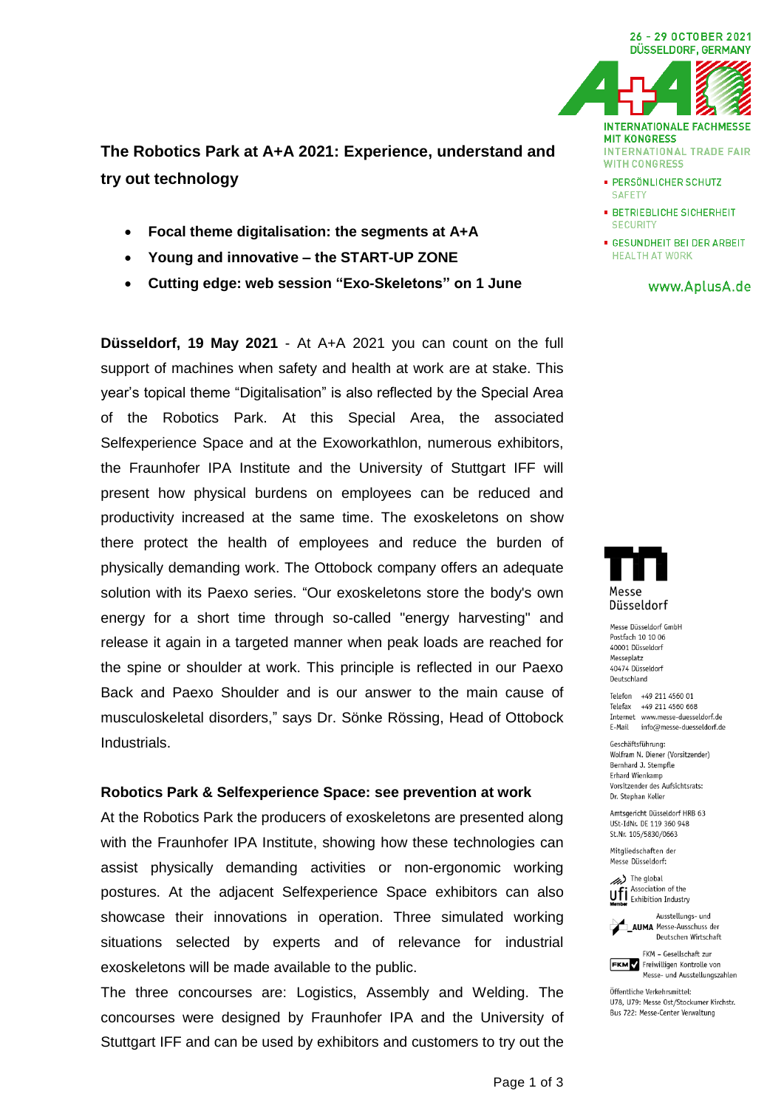

- · PERSÖNLICHER SCHUTZ **SAFETY**
- **BETRIEBLICHE SICHERHEIT SECURITY**
- GESUNDHEIT BEI DER ARBEIT **HEALTH AT WORK**

www.AplusA.de

Messe Düsseldorf

Messe Diisseldorf GmbH Postfach 10 10 06 40001 Düsseldorf Messeplatz 40474 Düsseldorf Deutschland

Telefon +49 211 4560 01 Telefax +49 211 4560 668 Internet www.messe-duesseldorf.de E-Mail info@messe-duesseldorf.de

Geschäftsführung: Wolfram N. Diener (Vorsitzender) Bernhard J. Stempfle Erhard Wienkamp Vorsitzender des Aufsichtsrats: Dr. Stephan Keller

Amtsgericht Düsseldorf HRB 63 USt-IdNr. DE 119 360 948 St.Nr. 105/5830/0663

Mitgliedschaften der Messe Düsseldorf:

> The global Association of the Uff Association of the<br>
Momber Exhibition Industry





FKM - Gesellschaft zur **FKM** Freiwilligen Kontrolle von Messe- und Ausstellungszahlen

Öffentliche Verkehrsmittel: U78, U79: Messe Ost/Stockumer Kirchstr. Bus 722: Messe-Center Verwaltung

**The Robotics Park at A+A 2021: Experience, understand and try out technology**

- **Focal theme digitalisation: the segments at A+A**
- **Young and innovative – the START-UP ZONE**
- **Cutting edge: web session "Exo-Skeletons" on 1 June**

**Düsseldorf, 19 May 2021** - At A+A 2021 you can count on the full support of machines when safety and health at work are at stake. This year's topical theme "Digitalisation" is also reflected by the Special Area of the Robotics Park. At this Special Area, the associated Selfexperience Space and at the Exoworkathlon, numerous exhibitors, the Fraunhofer IPA Institute and the University of Stuttgart IFF will present how physical burdens on employees can be reduced and productivity increased at the same time. The exoskeletons on show there protect the health of employees and reduce the burden of physically demanding work. The Ottobock company offers an adequate solution with its Paexo series. "Our exoskeletons store the body's own energy for a short time through so-called "energy harvesting" and release it again in a targeted manner when peak loads are reached for the spine or shoulder at work. This principle is reflected in our Paexo Back and Paexo Shoulder and is our answer to the main cause of musculoskeletal disorders," says Dr. Sönke Rössing, Head of Ottobock Industrials.

# **Robotics Park & Selfexperience Space: see prevention at work**

At the Robotics Park the producers of exoskeletons are presented along with the Fraunhofer IPA Institute, showing how these technologies can assist physically demanding activities or non-ergonomic working postures. At the adjacent Selfexperience Space exhibitors can also showcase their innovations in operation. Three simulated working situations selected by experts and of relevance for industrial exoskeletons will be made available to the public.

The three concourses are: Logistics, Assembly and Welding. The concourses were designed by Fraunhofer IPA and the University of Stuttgart IFF and can be used by exhibitors and customers to try out the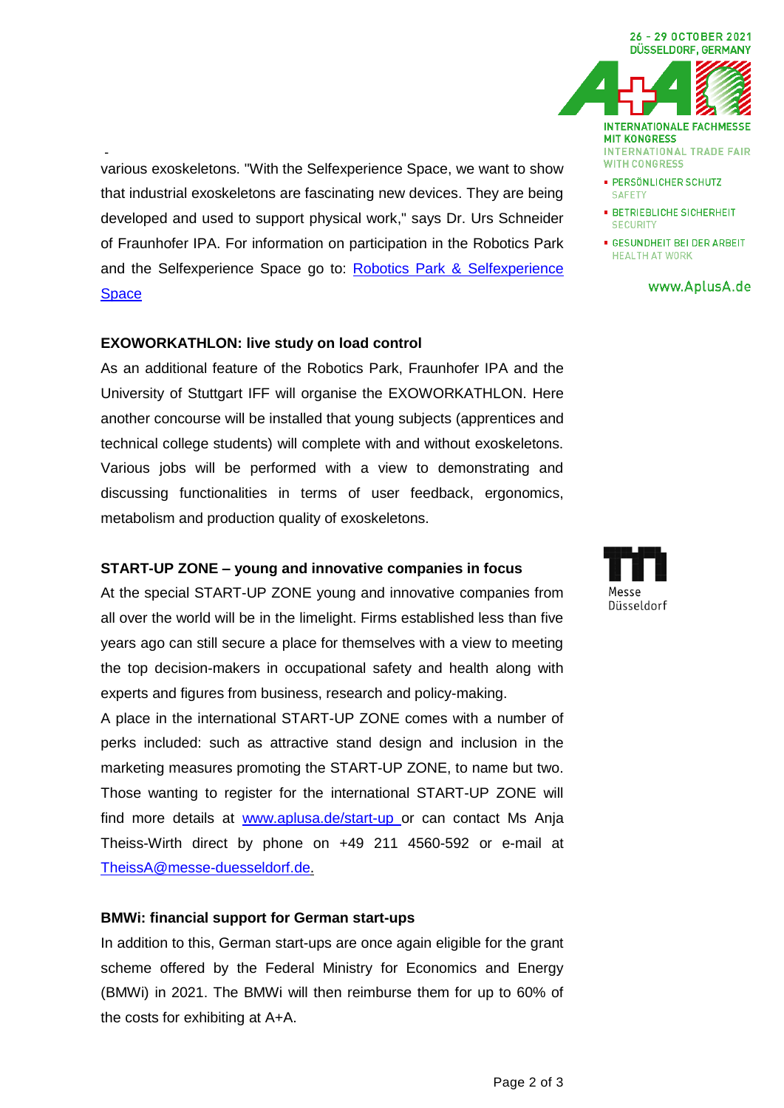various exoskeletons. "With the Selfexperience Space, we want to show that industrial exoskeletons are fascinating new devices. They are being developed and used to support physical work," says Dr. Urs Schneider of Fraunhofer IPA. For information on participation in the Robotics Park and the Selfexperience Space go to: [Robotics Park & Selfexperience](https://www.aplusa.de/de/Home/Fokusthemen/Robotics_Park)  **[Space](https://www.aplusa.de/de/Home/Fokusthemen/Robotics_Park)** 

#### **EXOWORKATHLON: live study on load control**

-

As an additional feature of the Robotics Park, Fraunhofer IPA and the University of Stuttgart IFF will organise the EXOWORKATHLON. Here another concourse will be installed that young subjects (apprentices and technical college students) will complete with and without exoskeletons. Various jobs will be performed with a view to demonstrating and discussing functionalities in terms of user feedback, ergonomics, metabolism and production quality of exoskeletons.

### **START-UP ZONE – young and innovative companies in focus**

At the special START-UP ZONE young and innovative companies from all over the world will be in the limelight. Firms established less than five years ago can still secure a place for themselves with a view to meeting the top decision-makers in occupational safety and health along with experts and figures from business, research and policy-making.

A place in the international START-UP ZONE comes with a number of perks included: such as attractive stand design and inclusion in the marketing measures promoting the START-UP ZONE, to name but two. Those wanting to register for the international START-UP ZONE will find more details at [www.aplusa.de/start-up](https://www.aplusa.de/de/Aussteller/Aussteller_werden/Start-Up-Zone) or can contact Ms Anja Theiss-Wirth direct by phone on +49 211 4560-592 or e-mail at [TheissA@messe-duesseldorf.de.](mailto:TheissA@messe-duesseldorf.de)

### **BMWi: financial support for German start-ups**

In addition to this, German start-ups are once again eligible for the grant scheme offered by the Federal Ministry for Economics and Energy (BMWi) in 2021. The BMWi will then reimburse them for up to 60% of the costs for exhibiting at A+A.



- · PERSÖNLICHER SCHUTZ **SAFETY**
- **BETRIEBLICHE SICHERHEIT SECURITY**
- GESUNDHEIT BEI DER ARBEIT **HEALTH AT WORK**

www.AplusA.de